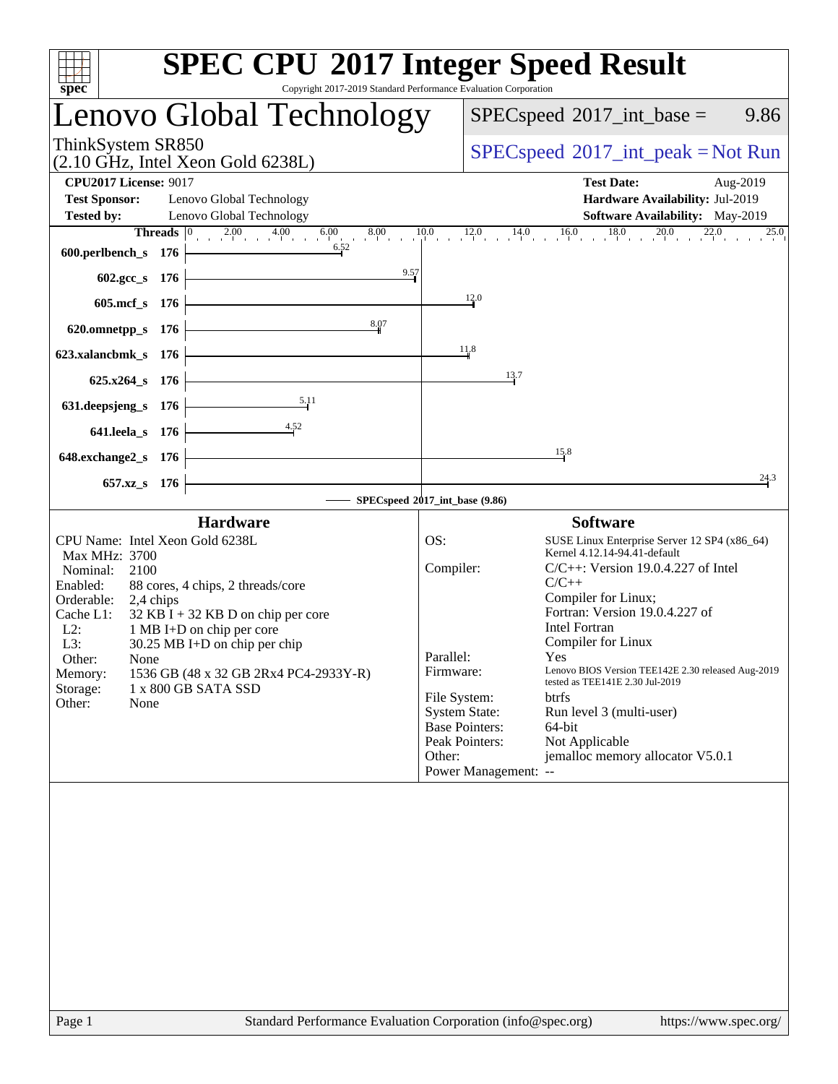| spec<br>Copyright 2017-2019 Standard Performance Evaluation Corporation                                                                                                                                                                                                                                                                                                                                         | <b>SPEC CPU®2017 Integer Speed Result</b>                                                                                                                                                                                                                                                                                                                                                                                                                                                                                                                                                                                                                                                                                         |
|-----------------------------------------------------------------------------------------------------------------------------------------------------------------------------------------------------------------------------------------------------------------------------------------------------------------------------------------------------------------------------------------------------------------|-----------------------------------------------------------------------------------------------------------------------------------------------------------------------------------------------------------------------------------------------------------------------------------------------------------------------------------------------------------------------------------------------------------------------------------------------------------------------------------------------------------------------------------------------------------------------------------------------------------------------------------------------------------------------------------------------------------------------------------|
| Lenovo Global Technology                                                                                                                                                                                                                                                                                                                                                                                        | $SPEC speed^{\circ}2017\_int\_base =$<br>9.86                                                                                                                                                                                                                                                                                                                                                                                                                                                                                                                                                                                                                                                                                     |
| ThinkSystem SR850<br>$(2.10 \text{ GHz}, \text{Intel Xeon Gold } 6238L)$                                                                                                                                                                                                                                                                                                                                        | $SPEC speed^{\circ}2017\_int\_peak = Not Run$                                                                                                                                                                                                                                                                                                                                                                                                                                                                                                                                                                                                                                                                                     |
| <b>CPU2017 License: 9017</b><br><b>Test Sponsor:</b><br>Lenovo Global Technology<br><b>Tested by:</b><br>Lenovo Global Technology                                                                                                                                                                                                                                                                               | <b>Test Date:</b><br>Aug-2019<br>Hardware Availability: Jul-2019<br>Software Availability: May-2019<br><b>Threads</b> $\begin{bmatrix} 0 & 2.00 & 4.00 & 6.00 & 8.00 & 10.0 & 12.0 & 14.0 & 16.0 & 18.0 & 20.0 & 22.0 \ 0 & 0 & 6.52 & 0 & 0 & 0 & 0 \end{bmatrix}$                                                                                                                                                                                                                                                                                                                                                                                                                                                               |
| 600.perlbench_s $176 \div$<br>9.57<br>602.gcc_s 176 $\vert$                                                                                                                                                                                                                                                                                                                                                     |                                                                                                                                                                                                                                                                                                                                                                                                                                                                                                                                                                                                                                                                                                                                   |
| 605.mcf_s 176                                                                                                                                                                                                                                                                                                                                                                                                   | 12.0                                                                                                                                                                                                                                                                                                                                                                                                                                                                                                                                                                                                                                                                                                                              |
| 8.07<br>620.omnetpp_s $176$ $\leftarrow$                                                                                                                                                                                                                                                                                                                                                                        |                                                                                                                                                                                                                                                                                                                                                                                                                                                                                                                                                                                                                                                                                                                                   |
| $623$ .xalancbmk_s 176                                                                                                                                                                                                                                                                                                                                                                                          | 118                                                                                                                                                                                                                                                                                                                                                                                                                                                                                                                                                                                                                                                                                                                               |
| $625.x264_s$ 176                                                                                                                                                                                                                                                                                                                                                                                                | 13.7                                                                                                                                                                                                                                                                                                                                                                                                                                                                                                                                                                                                                                                                                                                              |
| 5.11<br>631. deepsjeng_s $176$<br>4.52<br>641.leela_s $176$                                                                                                                                                                                                                                                                                                                                                     |                                                                                                                                                                                                                                                                                                                                                                                                                                                                                                                                                                                                                                                                                                                                   |
| <u> 1989 - Johann Barn, mars ann an t-Amhain Aonaich an t-Aonaich an t-Aonaich ann an t-Aonaich ann an t-Aonaich</u><br>648.exchange $2_s$ 176                                                                                                                                                                                                                                                                  | 15.8                                                                                                                                                                                                                                                                                                                                                                                                                                                                                                                                                                                                                                                                                                                              |
| 657.xz_s 176                                                                                                                                                                                                                                                                                                                                                                                                    | 24.3                                                                                                                                                                                                                                                                                                                                                                                                                                                                                                                                                                                                                                                                                                                              |
| SPECspeed®2017_int_base (9.86)<br><b>Hardware</b>                                                                                                                                                                                                                                                                                                                                                               | <b>Software</b>                                                                                                                                                                                                                                                                                                                                                                                                                                                                                                                                                                                                                                                                                                                   |
| CPU Name: Intel Xeon Gold 6238L<br>Max MHz: 3700<br>Nominal:<br>2100<br>88 cores, 4 chips, 2 threads/core<br>Enabled:<br>Orderable:<br>2,4 chips<br>$32$ KB I + 32 KB D on chip per core<br>Cache L1:<br>$L2$ :<br>1 MB I+D on chip per core<br>L3:<br>30.25 MB I+D on chip per chip<br>Other:<br>None<br>1536 GB (48 x 32 GB 2Rx4 PC4-2933Y-R)<br>Memory:<br>Storage:<br>1 x 800 GB SATA SSD<br>Other:<br>None | OS:<br>SUSE Linux Enterprise Server 12 SP4 (x86_64)<br>Kernel 4.12.14-94.41-default<br>Compiler:<br>$C/C++$ : Version 19.0.4.227 of Intel<br>$C/C++$<br>Compiler for Linux;<br>Fortran: Version 19.0.4.227 of<br><b>Intel Fortran</b><br>Compiler for Linux<br>Parallel:<br>Yes a set of the set of the set of the set of the set of the set of the set of the set of the set of the set o<br>Lenovo BIOS Version TEE142E 2.30 released Aug-2019<br>Firmware:<br>tested as TEE141E 2.30 Jul-2019<br>File System:<br><b>btrfs</b><br><b>System State:</b><br>Run level 3 (multi-user)<br><b>Base Pointers:</b><br>64-bit<br>Peak Pointers:<br>Not Applicable<br>jemalloc memory allocator V5.0.1<br>Other:<br>Power Management: -- |
|                                                                                                                                                                                                                                                                                                                                                                                                                 |                                                                                                                                                                                                                                                                                                                                                                                                                                                                                                                                                                                                                                                                                                                                   |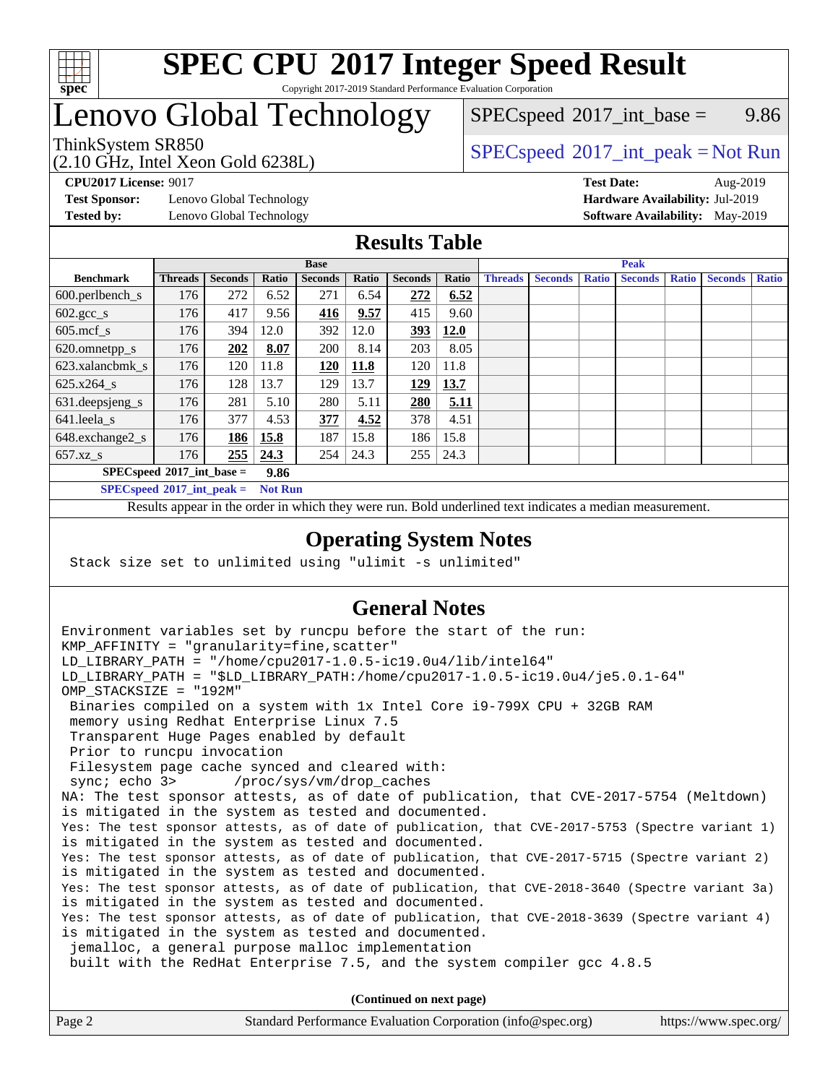

### **[SPEC CPU](http://www.spec.org/auto/cpu2017/Docs/result-fields.html#SPECCPU2017IntegerSpeedResult)[2017 Integer Speed Result](http://www.spec.org/auto/cpu2017/Docs/result-fields.html#SPECCPU2017IntegerSpeedResult)** Copyright 2017-2019 Standard Performance Evaluation Corporation

# Lenovo Global Technology

 $SPECspeed^{\circ}2017\_int\_base =$  $SPECspeed^{\circ}2017\_int\_base =$  9.86

### ThinkSystem SR850<br>  $SPEC speed^{\circ}2017\_int\_peak = Not Run$

**[Test Sponsor:](http://www.spec.org/auto/cpu2017/Docs/result-fields.html#TestSponsor)** Lenovo Global Technology **[Hardware Availability:](http://www.spec.org/auto/cpu2017/Docs/result-fields.html#HardwareAvailability)** Jul-2019

(2.10 GHz, Intel Xeon Gold 6238L)

**[CPU2017 License:](http://www.spec.org/auto/cpu2017/Docs/result-fields.html#CPU2017License)** 9017 **[Test Date:](http://www.spec.org/auto/cpu2017/Docs/result-fields.html#TestDate)** Aug-2019 **[Tested by:](http://www.spec.org/auto/cpu2017/Docs/result-fields.html#Testedby)** Lenovo Global Technology **[Software Availability:](http://www.spec.org/auto/cpu2017/Docs/result-fields.html#SoftwareAvailability)** May-2019

### **[Results Table](http://www.spec.org/auto/cpu2017/Docs/result-fields.html#ResultsTable)**

|                                      | <b>Base</b>    |                |       |                | <b>Peak</b> |                |       |                |                |              |                |              |                |              |
|--------------------------------------|----------------|----------------|-------|----------------|-------------|----------------|-------|----------------|----------------|--------------|----------------|--------------|----------------|--------------|
| <b>Benchmark</b>                     | <b>Threads</b> | <b>Seconds</b> | Ratio | <b>Seconds</b> | Ratio       | <b>Seconds</b> | Ratio | <b>Threads</b> | <b>Seconds</b> | <b>Ratio</b> | <b>Seconds</b> | <b>Ratio</b> | <b>Seconds</b> | <b>Ratio</b> |
| $600.$ perlbench_s                   | 176            | 272            | 6.52  | 271            | 6.54        | 272            | 6.52  |                |                |              |                |              |                |              |
| $602 \text{.} \text{gcc}\text{_<}$ s | 176            | 417            | 9.56  | 416            | 9.57        | 415            | 9.60  |                |                |              |                |              |                |              |
| $605$ .mcf s                         | 176            | 394            | 12.0  | 392            | 12.0        | 393            | 12.0  |                |                |              |                |              |                |              |
| 620.omnetpp_s                        | 176            | 202            | 8.07  | 200            | 8.14        | 203            | 8.05  |                |                |              |                |              |                |              |
| 623.xalancbmk s                      | 176            | 120            | 11.8  | 120            | <b>11.8</b> | 120            | 11.8  |                |                |              |                |              |                |              |
| 625.x264 s                           | 176            | 128            | 13.7  | 129            | 13.7        | 129            | 13.7  |                |                |              |                |              |                |              |
| 631.deepsjeng_s                      | 176            | 281            | 5.10  | 280            | 5.11        | 280            | 5.11  |                |                |              |                |              |                |              |
| 641.leela s                          | 176            | 377            | 4.53  | 377            | 4.52        | 378            | 4.51  |                |                |              |                |              |                |              |
| 648.exchange2_s                      | 176            | 186            | 15.8  | 187            | 15.8        | 186            | 15.8  |                |                |              |                |              |                |              |
| $657.xz$ s                           | 176            | 255            | 24.3  | 254            | 24.3        | 255            | 24.3  |                |                |              |                |              |                |              |
| $SPECspeed*2017$ int base =<br>9.86  |                |                |       |                |             |                |       |                |                |              |                |              |                |              |

**[SPECspeed](http://www.spec.org/auto/cpu2017/Docs/result-fields.html#SPECspeed2017intpeak)[2017\\_int\\_peak =](http://www.spec.org/auto/cpu2017/Docs/result-fields.html#SPECspeed2017intpeak) Not Run**

Results appear in the [order in which they were run.](http://www.spec.org/auto/cpu2017/Docs/result-fields.html#RunOrder) Bold underlined text [indicates a median measurement.](http://www.spec.org/auto/cpu2017/Docs/result-fields.html#Median)

### **[Operating System Notes](http://www.spec.org/auto/cpu2017/Docs/result-fields.html#OperatingSystemNotes)**

Stack size set to unlimited using "ulimit -s unlimited"

### **[General Notes](http://www.spec.org/auto/cpu2017/Docs/result-fields.html#GeneralNotes)**

Environment variables set by runcpu before the start of the run: KMP AFFINITY = "granularity=fine, scatter" LD\_LIBRARY\_PATH = "/home/cpu2017-1.0.5-ic19.0u4/lib/intel64" LD\_LIBRARY\_PATH = "\$LD\_LIBRARY\_PATH:/home/cpu2017-1.0.5-ic19.0u4/je5.0.1-64" OMP\_STACKSIZE = "192M" Binaries compiled on a system with 1x Intel Core i9-799X CPU + 32GB RAM memory using Redhat Enterprise Linux 7.5 Transparent Huge Pages enabled by default Prior to runcpu invocation Filesystem page cache synced and cleared with: sync; echo 3> /proc/sys/vm/drop\_caches NA: The test sponsor attests, as of date of publication, that CVE-2017-5754 (Meltdown) is mitigated in the system as tested and documented. Yes: The test sponsor attests, as of date of publication, that CVE-2017-5753 (Spectre variant 1) is mitigated in the system as tested and documented. Yes: The test sponsor attests, as of date of publication, that CVE-2017-5715 (Spectre variant 2) is mitigated in the system as tested and documented. Yes: The test sponsor attests, as of date of publication, that CVE-2018-3640 (Spectre variant 3a) is mitigated in the system as tested and documented. Yes: The test sponsor attests, as of date of publication, that CVE-2018-3639 (Spectre variant 4) is mitigated in the system as tested and documented. jemalloc, a general purpose malloc implementation built with the RedHat Enterprise 7.5, and the system compiler gcc 4.8.5 **(Continued on next page)**

| Page 2 | Standard Performance Evaluation Corporation (info@spec.org) | https://www.spec.org/ |
|--------|-------------------------------------------------------------|-----------------------|
|        |                                                             |                       |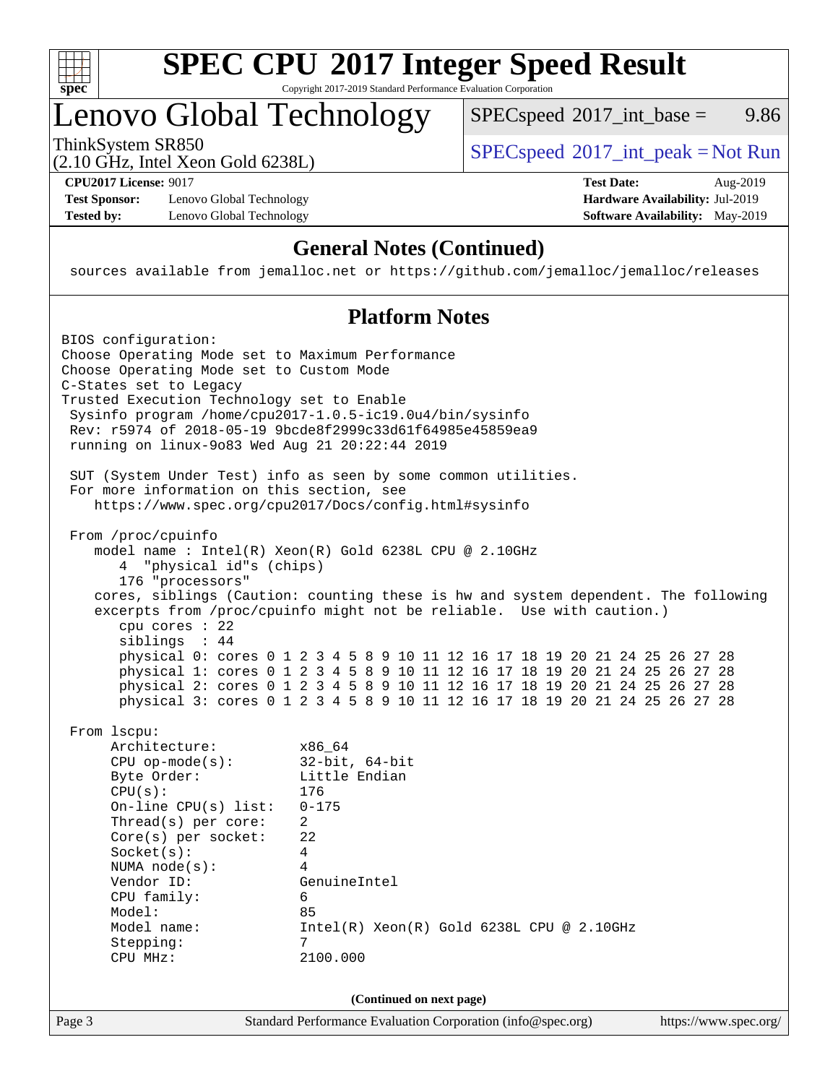

### **[SPEC CPU](http://www.spec.org/auto/cpu2017/Docs/result-fields.html#SPECCPU2017IntegerSpeedResult)[2017 Integer Speed Result](http://www.spec.org/auto/cpu2017/Docs/result-fields.html#SPECCPU2017IntegerSpeedResult)** Copyright 2017-2019 Standard Performance Evaluation Corporation

# Lenovo Global Technology

ThinkSystem SR850<br>  $SPEC speed^{\circ}2017\_int\_peak = Not Run$  $SPECspeed^{\circ}2017\_int\_base =$  $SPECspeed^{\circ}2017\_int\_base =$  9.86

(2.10 GHz, Intel Xeon Gold 6238L)

**[Test Sponsor:](http://www.spec.org/auto/cpu2017/Docs/result-fields.html#TestSponsor)** Lenovo Global Technology **[Hardware Availability:](http://www.spec.org/auto/cpu2017/Docs/result-fields.html#HardwareAvailability)** Jul-2019 **[Tested by:](http://www.spec.org/auto/cpu2017/Docs/result-fields.html#Testedby)** Lenovo Global Technology **[Software Availability:](http://www.spec.org/auto/cpu2017/Docs/result-fields.html#SoftwareAvailability)** May-2019

**[CPU2017 License:](http://www.spec.org/auto/cpu2017/Docs/result-fields.html#CPU2017License)** 9017 **[Test Date:](http://www.spec.org/auto/cpu2017/Docs/result-fields.html#TestDate)** Aug-2019

### **[General Notes \(Continued\)](http://www.spec.org/auto/cpu2017/Docs/result-fields.html#GeneralNotes)**

sources available from jemalloc.net or <https://github.com/jemalloc/jemalloc/releases>

### **[Platform Notes](http://www.spec.org/auto/cpu2017/Docs/result-fields.html#PlatformNotes)**

Page 3 Standard Performance Evaluation Corporation [\(info@spec.org\)](mailto:info@spec.org) <https://www.spec.org/> BIOS configuration: Choose Operating Mode set to Maximum Performance Choose Operating Mode set to Custom Mode C-States set to Legacy Trusted Execution Technology set to Enable Sysinfo program /home/cpu2017-1.0.5-ic19.0u4/bin/sysinfo Rev: r5974 of 2018-05-19 9bcde8f2999c33d61f64985e45859ea9 running on linux-9o83 Wed Aug 21 20:22:44 2019 SUT (System Under Test) info as seen by some common utilities. For more information on this section, see <https://www.spec.org/cpu2017/Docs/config.html#sysinfo> From /proc/cpuinfo model name : Intel(R) Xeon(R) Gold 6238L CPU @ 2.10GHz 4 "physical id"s (chips) 176 "processors" cores, siblings (Caution: counting these is hw and system dependent. The following excerpts from /proc/cpuinfo might not be reliable. Use with caution.) cpu cores : 22 siblings : 44 physical 0: cores 0 1 2 3 4 5 8 9 10 11 12 16 17 18 19 20 21 24 25 26 27 28 physical 1: cores 0 1 2 3 4 5 8 9 10 11 12 16 17 18 19 20 21 24 25 26 27 28 physical 2: cores 0 1 2 3 4 5 8 9 10 11 12 16 17 18 19 20 21 24 25 26 27 28 physical 3: cores 0 1 2 3 4 5 8 9 10 11 12 16 17 18 19 20 21 24 25 26 27 28 From lscpu: Architecture: x86\_64 CPU op-mode(s): 32-bit, 64-bit Byte Order: Little Endian CPU(s): 176 On-line CPU(s) list: 0-175 Thread(s) per core: 2 Core(s) per socket: 22 Socket(s): 4 NUMA node(s): 4 Vendor ID: GenuineIntel CPU family: 6 Model: 85 Model name: Intel(R) Xeon(R) Gold 6238L CPU @ 2.10GHz Stepping: 7 CPU MHz: 2100.000 **(Continued on next page)**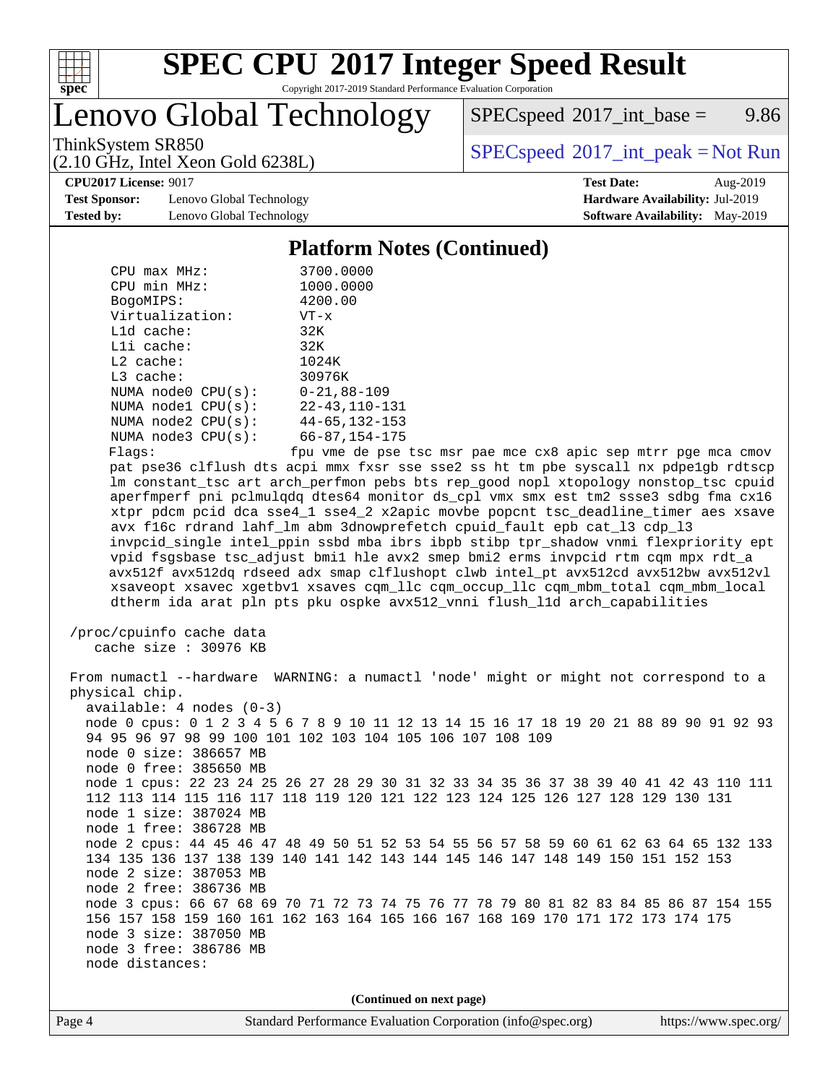

# **[SPEC CPU](http://www.spec.org/auto/cpu2017/Docs/result-fields.html#SPECCPU2017IntegerSpeedResult)[2017 Integer Speed Result](http://www.spec.org/auto/cpu2017/Docs/result-fields.html#SPECCPU2017IntegerSpeedResult)**

Copyright 2017-2019 Standard Performance Evaluation Corporation

Lenovo Global Technology

 $SPEC speed^{\circ}2017\_int\_base =$  9.86

ThinkSystem SR850<br>  $SPEC speed^{\circ}2017\_int\_peak = Not Run$ 

**[CPU2017 License:](http://www.spec.org/auto/cpu2017/Docs/result-fields.html#CPU2017License)** 9017 **[Test Date:](http://www.spec.org/auto/cpu2017/Docs/result-fields.html#TestDate)** Aug-2019

**[Test Sponsor:](http://www.spec.org/auto/cpu2017/Docs/result-fields.html#TestSponsor)** Lenovo Global Technology **[Hardware Availability:](http://www.spec.org/auto/cpu2017/Docs/result-fields.html#HardwareAvailability)** Jul-2019 **[Tested by:](http://www.spec.org/auto/cpu2017/Docs/result-fields.html#Testedby)** Lenovo Global Technology **[Software Availability:](http://www.spec.org/auto/cpu2017/Docs/result-fields.html#SoftwareAvailability)** May-2019

(2.10 GHz, Intel Xeon Gold 6238L)

### **[Platform Notes \(Continued\)](http://www.spec.org/auto/cpu2017/Docs/result-fields.html#PlatformNotes)**

| $CPIJ$ max $MHz$ :      | 3700.0000            |
|-------------------------|----------------------|
| CPU min MHz:            | 1000.0000            |
| BogoMIPS:               | 4200.00              |
| Virtualization:         | $VT - x$             |
| $L1d$ cache:            | 32K                  |
| $L1i$ cache:            | 32K                  |
| $L2$ cache:             | 1024K                |
| $L3$ cache:             | 30976K               |
| NUMA $node0$ $CPU(s)$ : | $0 - 21, 88 - 109$   |
| NUMA $node1$ $CPU(s):$  | $22 - 43, 110 - 131$ |
| NUMA node2 CPU(s):      | $44 - 65, 132 - 153$ |
| NUMA $node3$ $CPU(s)$ : | $66 - 87, 154 - 175$ |
| Flaqs:                  | fpu vme de pse       |

pse tsc msr pae mce cx8 apic sep mtrr pge mca cmov pat pse36 clflush dts acpi mmx fxsr sse sse2 ss ht tm pbe syscall nx pdpe1gb rdtscp lm constant\_tsc art arch\_perfmon pebs bts rep\_good nopl xtopology nonstop\_tsc cpuid aperfmperf pni pclmulqdq dtes64 monitor ds\_cpl vmx smx est tm2 ssse3 sdbg fma cx16 xtpr pdcm pcid dca sse4\_1 sse4\_2 x2apic movbe popcnt tsc\_deadline\_timer aes xsave avx f16c rdrand lahf\_lm abm 3dnowprefetch cpuid\_fault epb cat\_l3 cdp\_l3 invpcid\_single intel\_ppin ssbd mba ibrs ibpb stibp tpr\_shadow vnmi flexpriority ept vpid fsgsbase tsc\_adjust bmi1 hle avx2 smep bmi2 erms invpcid rtm cqm mpx rdt\_a avx512f avx512dq rdseed adx smap clflushopt clwb intel\_pt avx512cd avx512bw avx512vl xsaveopt xsavec xgetbv1 xsaves cqm\_llc cqm\_occup\_llc cqm\_mbm\_total cqm\_mbm\_local dtherm ida arat pln pts pku ospke avx512\_vnni flush\_l1d arch\_capabilities

```
 /proc/cpuinfo cache data
cache size : 30976 KB
```
 From numactl --hardware WARNING: a numactl 'node' might or might not correspond to a physical chip. available: 4 nodes (0-3) node 0 cpus: 0 1 2 3 4 5 6 7 8 9 10 11 12 13 14 15 16 17 18 19 20 21 88 89 90 91 92 93 94 95 96 97 98 99 100 101 102 103 104 105 106 107 108 109 node 0 size: 386657 MB node 0 free: 385650 MB node 1 cpus: 22 23 24 25 26 27 28 29 30 31 32 33 34 35 36 37 38 39 40 41 42 43 110 111 112 113 114 115 116 117 118 119 120 121 122 123 124 125 126 127 128 129 130 131 node 1 size: 387024 MB node 1 free: 386728 MB node 2 cpus: 44 45 46 47 48 49 50 51 52 53 54 55 56 57 58 59 60 61 62 63 64 65 132 133 134 135 136 137 138 139 140 141 142 143 144 145 146 147 148 149 150 151 152 153 node 2 size: 387053 MB node 2 free: 386736 MB node 3 cpus: 66 67 68 69 70 71 72 73 74 75 76 77 78 79 80 81 82 83 84 85 86 87 154 155 156 157 158 159 160 161 162 163 164 165 166 167 168 169 170 171 172 173 174 175 node 3 size: 387050 MB node 3 free: 386786 MB node distances:

**(Continued on next page)**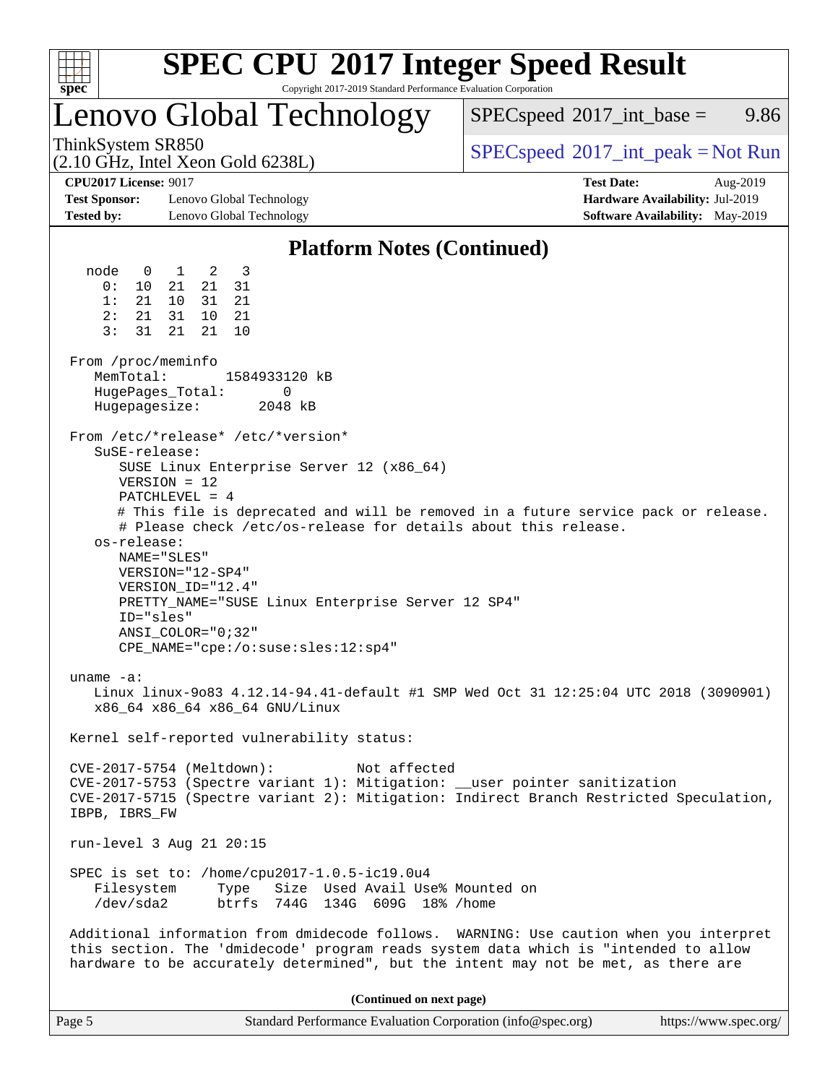| v.<br>ť<br>ù. |  |  |  |  |  |  |  |
|---------------|--|--|--|--|--|--|--|

# **[SPEC CPU](http://www.spec.org/auto/cpu2017/Docs/result-fields.html#SPECCPU2017IntegerSpeedResult)[2017 Integer Speed Result](http://www.spec.org/auto/cpu2017/Docs/result-fields.html#SPECCPU2017IntegerSpeedResult)**

Copyright 2017-2019 Standard Performance Evaluation Corporation

# Lenovo Global Technology

 $SPECspeed^{\circ}2017\_int\_base =$  $SPECspeed^{\circ}2017\_int\_base =$  9.86

(2.10 GHz, Intel Xeon Gold 6238L)

ThinkSystem SR850<br>  $SPEC speed^{\circ}2017\_int\_peak = Not Run$ 

**[Test Sponsor:](http://www.spec.org/auto/cpu2017/Docs/result-fields.html#TestSponsor)** Lenovo Global Technology **[Hardware Availability:](http://www.spec.org/auto/cpu2017/Docs/result-fields.html#HardwareAvailability)** Jul-2019 **[Tested by:](http://www.spec.org/auto/cpu2017/Docs/result-fields.html#Testedby)** Lenovo Global Technology **[Software Availability:](http://www.spec.org/auto/cpu2017/Docs/result-fields.html#SoftwareAvailability)** May-2019

**[CPU2017 License:](http://www.spec.org/auto/cpu2017/Docs/result-fields.html#CPU2017License)** 9017 **[Test Date:](http://www.spec.org/auto/cpu2017/Docs/result-fields.html#TestDate)** Aug-2019

### **[Platform Notes \(Continued\)](http://www.spec.org/auto/cpu2017/Docs/result-fields.html#PlatformNotes)**

 node 0 1 2 3 0: 10 21 21 31 1: 21 10 31 21 2: 21 31 10 21 3: 31 21 21 10 From /proc/meminfo MemTotal: 1584933120 kB HugePages\_Total: 0 Hugepagesize: 2048 kB From /etc/\*release\* /etc/\*version\* SuSE-release: SUSE Linux Enterprise Server 12 (x86\_64) VERSION = 12 PATCHLEVEL = 4 # This file is deprecated and will be removed in a future service pack or release. # Please check /etc/os-release for details about this release. os-release: NAME="SLES" VERSION="12-SP4" VERSION\_ID="12.4" PRETTY\_NAME="SUSE Linux Enterprise Server 12 SP4" ID="sles" ANSI\_COLOR="0;32" CPE\_NAME="cpe:/o:suse:sles:12:sp4" uname -a: Linux linux-9o83 4.12.14-94.41-default #1 SMP Wed Oct 31 12:25:04 UTC 2018 (3090901) x86\_64 x86\_64 x86\_64 GNU/Linux Kernel self-reported vulnerability status: CVE-2017-5754 (Meltdown): Not affected CVE-2017-5753 (Spectre variant 1): Mitigation: \_\_user pointer sanitization CVE-2017-5715 (Spectre variant 2): Mitigation: Indirect Branch Restricted Speculation, IBPB, IBRS\_FW run-level 3 Aug 21 20:15 SPEC is set to: /home/cpu2017-1.0.5-ic19.0u4 Filesystem Type Size Used Avail Use% Mounted on /dev/sda2 btrfs 744G 134G 609G 18% /home Additional information from dmidecode follows. WARNING: Use caution when you interpret this section. The 'dmidecode' program reads system data which is "intended to allow hardware to be accurately determined", but the intent may not be met, as there are **(Continued on next page)**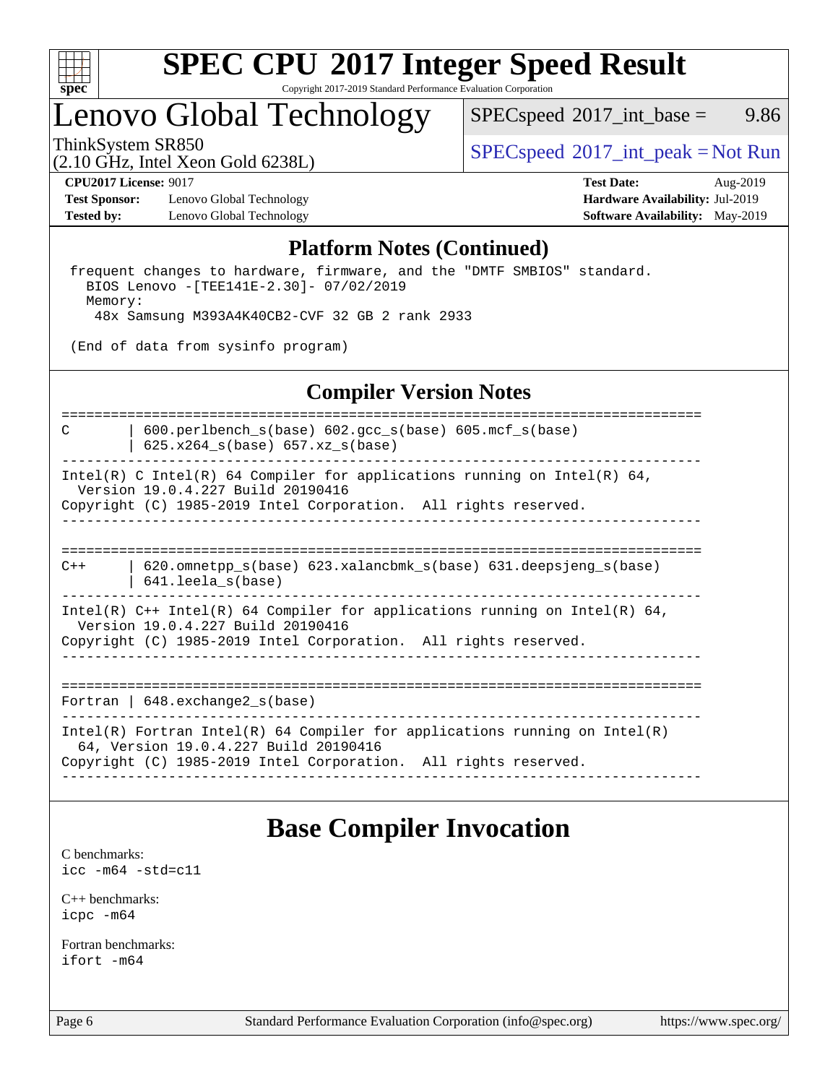

# **[SPEC CPU](http://www.spec.org/auto/cpu2017/Docs/result-fields.html#SPECCPU2017IntegerSpeedResult)[2017 Integer Speed Result](http://www.spec.org/auto/cpu2017/Docs/result-fields.html#SPECCPU2017IntegerSpeedResult)**

Copyright 2017-2019 Standard Performance Evaluation Corporation

# Lenovo Global Technology

 $SPECspeed^{\circ}2017\_int\_base =$  $SPECspeed^{\circ}2017\_int\_base =$  9.86

(2.10 GHz, Intel Xeon Gold 6238L)

ThinkSystem SR850<br>  $SPEC speed^{\circ}2017\_int\_peak = Not Run$ 

**[Test Sponsor:](http://www.spec.org/auto/cpu2017/Docs/result-fields.html#TestSponsor)** Lenovo Global Technology **[Hardware Availability:](http://www.spec.org/auto/cpu2017/Docs/result-fields.html#HardwareAvailability)** Jul-2019 **[Tested by:](http://www.spec.org/auto/cpu2017/Docs/result-fields.html#Testedby)** Lenovo Global Technology **[Software Availability:](http://www.spec.org/auto/cpu2017/Docs/result-fields.html#SoftwareAvailability)** May-2019

**[CPU2017 License:](http://www.spec.org/auto/cpu2017/Docs/result-fields.html#CPU2017License)** 9017 **[Test Date:](http://www.spec.org/auto/cpu2017/Docs/result-fields.html#TestDate)** Aug-2019

### **[Platform Notes \(Continued\)](http://www.spec.org/auto/cpu2017/Docs/result-fields.html#PlatformNotes)**

 frequent changes to hardware, firmware, and the "DMTF SMBIOS" standard. BIOS Lenovo -[TEE141E-2.30]- 07/02/2019 Memory: 48x Samsung M393A4K40CB2-CVF 32 GB 2 rank 2933

(End of data from sysinfo program)

### **[Compiler Version Notes](http://www.spec.org/auto/cpu2017/Docs/result-fields.html#CompilerVersionNotes)**

==============================================================================

C | 600.perlbench\_s(base) 602.gcc\_s(base) 605.mcf\_s(base) | 625.x264\_s(base) 657.xz\_s(base)

------------------------------------------------------------------------------

Intel(R) C Intel(R) 64 Compiler for applications running on Intel(R)  $64$ , Version 19.0.4.227 Build 20190416 Copyright (C) 1985-2019 Intel Corporation. All rights reserved.

------------------------------------------------------------------------------

============================================================================== C++ | 620.omnetpp\_s(base) 623.xalancbmk\_s(base) 631.deepsjeng\_s(base) | 641.leela\_s(base)

------------------------------------------------------------------------------ Intel(R) C++ Intel(R) 64 Compiler for applications running on Intel(R) 64, Version 19.0.4.227 Build 20190416 Copyright (C) 1985-2019 Intel Corporation. All rights reserved.

------------------------------------------------------------------------------

==============================================================================

Fortran | 648.exchange2\_s(base)

------------------------------------------------------------------------------ Intel(R) Fortran Intel(R) 64 Compiler for applications running on Intel(R) 64, Version 19.0.4.227 Build 20190416 Copyright (C) 1985-2019 Intel Corporation. All rights reserved. ------------------------------------------------------------------------------

### **[Base Compiler Invocation](http://www.spec.org/auto/cpu2017/Docs/result-fields.html#BaseCompilerInvocation)**

[C benchmarks](http://www.spec.org/auto/cpu2017/Docs/result-fields.html#Cbenchmarks): [icc -m64 -std=c11](http://www.spec.org/cpu2017/results/res2019q3/cpu2017-20190903-17638.flags.html#user_CCbase_intel_icc_64bit_c11_33ee0cdaae7deeeab2a9725423ba97205ce30f63b9926c2519791662299b76a0318f32ddfffdc46587804de3178b4f9328c46fa7c2b0cd779d7a61945c91cd35)

[C++ benchmarks:](http://www.spec.org/auto/cpu2017/Docs/result-fields.html#CXXbenchmarks) [icpc -m64](http://www.spec.org/cpu2017/results/res2019q3/cpu2017-20190903-17638.flags.html#user_CXXbase_intel_icpc_64bit_4ecb2543ae3f1412ef961e0650ca070fec7b7afdcd6ed48761b84423119d1bf6bdf5cad15b44d48e7256388bc77273b966e5eb805aefd121eb22e9299b2ec9d9)

[Fortran benchmarks](http://www.spec.org/auto/cpu2017/Docs/result-fields.html#Fortranbenchmarks): [ifort -m64](http://www.spec.org/cpu2017/results/res2019q3/cpu2017-20190903-17638.flags.html#user_FCbase_intel_ifort_64bit_24f2bb282fbaeffd6157abe4f878425411749daecae9a33200eee2bee2fe76f3b89351d69a8130dd5949958ce389cf37ff59a95e7a40d588e8d3a57e0c3fd751)